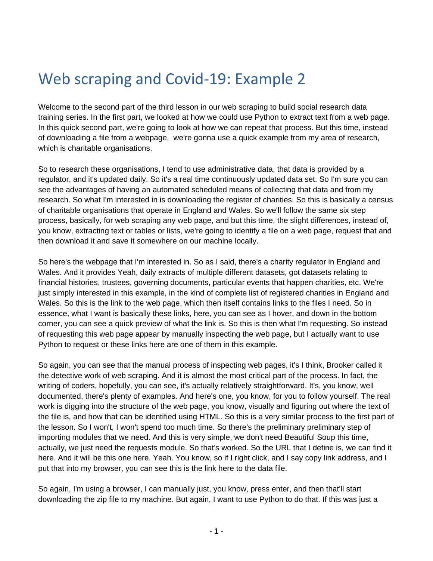## Web scraping and Covid-19: Example 2

Welcome to the second part of the third lesson in our web scraping to build social research data training series. In the first part, we looked at how we could use Python to extract text from a web page. In this quick second part, we're going to look at how we can repeat that process. But this time, instead of downloading a file from a webpage, we're gonna use a quick example from my area of research, which is charitable organisations.

So to research these organisations, I tend to use administrative data, that data is provided by a regulator, and it's updated daily. So it's a real time continuously updated data set. So I'm sure you can see the advantages of having an automated scheduled means of collecting that data and from my research. So what I'm interested in is downloading the register of charities. So this is basically a census of charitable organisations that operate in England and Wales. So we'll follow the same six step process, basically, for web scraping any web page, and but this time, the slight differences, instead of, you know, extracting text or tables or lists, we're going to identify a file on a web page, request that and then download it and save it somewhere on our machine locally.

So here's the webpage that I'm interested in. So as I said, there's a charity regulator in England and Wales. And it provides Yeah, daily extracts of multiple different datasets, got datasets relating to financial histories, trustees, governing documents, particular events that happen charities, etc. We're just simply interested in this example, in the kind of complete list of registered charities in England and Wales. So this is the link to the web page, which then itself contains links to the files I need. So in essence, what I want is basically these links, here, you can see as I hover, and down in the bottom corner, you can see a quick preview of what the link is. So this is then what I'm requesting. So instead of requesting this web page appear by manually inspecting the web page, but I actually want to use Python to request or these links here are one of them in this example.

So again, you can see that the manual process of inspecting web pages, it's I think, Brooker called it the detective work of web scraping. And it is almost the most critical part of the process. In fact, the writing of coders, hopefully, you can see, it's actually relatively straightforward. It's, you know, well documented, there's plenty of examples. And here's one, you know, for you to follow yourself. The real work is digging into the structure of the web page, you know, visually and figuring out where the text of the file is, and how that can be identified using HTML. So this is a very similar process to the first part of the lesson. So I won't, I won't spend too much time. So there's the preliminary preliminary step of importing modules that we need. And this is very simple, we don't need Beautiful Soup this time, actually, we just need the requests module. So that's worked. So the URL that I define is, we can find it here. And it will be this one here. Yeah. You know, so if I right click, and I say copy link address, and I put that into my browser, you can see this is the link here to the data file.

So again, I'm using a browser, I can manually just, you know, press enter, and then that'll start downloading the zip file to my machine. But again, I want to use Python to do that. If this was just a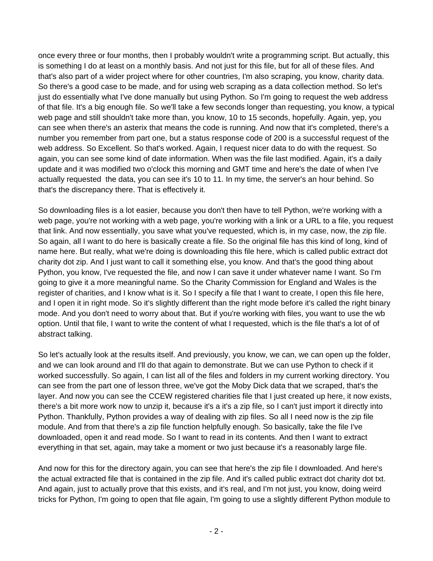once every three or four months, then I probably wouldn't write a programming script. But actually, this is something I do at least on a monthly basis. And not just for this file, but for all of these files. And that's also part of a wider project where for other countries, I'm also scraping, you know, charity data. So there's a good case to be made, and for using web scraping as a data collection method. So let's just do essentially what I've done manually but using Python. So I'm going to request the web address of that file. It's a big enough file. So we'll take a few seconds longer than requesting, you know, a typical web page and still shouldn't take more than, you know, 10 to 15 seconds, hopefully. Again, yep, you can see when there's an asterix that means the code is running. And now that it's completed, there's a number you remember from part one, but a status response code of 200 is a successful request of the web address. So Excellent. So that's worked. Again, I request nicer data to do with the request. So again, you can see some kind of date information. When was the file last modified. Again, it's a daily update and it was modified two o'clock this morning and GMT time and here's the date of when I've actually requested the data, you can see it's 10 to 11. In my time, the server's an hour behind. So that's the discrepancy there. That is effectively it.

So downloading files is a lot easier, because you don't then have to tell Python, we're working with a web page, you're not working with a web page, you're working with a link or a URL to a file, you request that link. And now essentially, you save what you've requested, which is, in my case, now, the zip file. So again, all I want to do here is basically create a file. So the original file has this kind of long, kind of name here. But really, what we're doing is downloading this file here, which is called public extract dot charity dot zip. And I just want to call it something else, you know. And that's the good thing about Python, you know, I've requested the file, and now I can save it under whatever name I want. So I'm going to give it a more meaningful name. So the Charity Commission for England and Wales is the register of charities, and I know what is it. So I specify a file that I want to create, I open this file here, and I open it in right mode. So it's slightly different than the right mode before it's called the right binary mode. And you don't need to worry about that. But if you're working with files, you want to use the wb option. Until that file, I want to write the content of what I requested, which is the file that's a lot of of abstract talking.

So let's actually look at the results itself. And previously, you know, we can, we can open up the folder, and we can look around and I'll do that again to demonstrate. But we can use Python to check if it worked successfully. So again, I can list all of the files and folders in my current working directory. You can see from the part one of lesson three, we've got the Moby Dick data that we scraped, that's the layer. And now you can see the CCEW registered charities file that I just created up here, it now exists, there's a bit more work now to unzip it, because it's a it's a zip file, so I can't just import it directly into Python. Thankfully, Python provides a way of dealing with zip files. So all I need now is the zip file module. And from that there's a zip file function helpfully enough. So basically, take the file I've downloaded, open it and read mode. So I want to read in its contents. And then I want to extract everything in that set, again, may take a moment or two just because it's a reasonably large file.

And now for this for the directory again, you can see that here's the zip file I downloaded. And here's the actual extracted file that is contained in the zip file. And it's called public extract dot charity dot txt. And again, just to actually prove that this exists, and it's real, and I'm not just, you know, doing weird tricks for Python, I'm going to open that file again, I'm going to use a slightly different Python module to